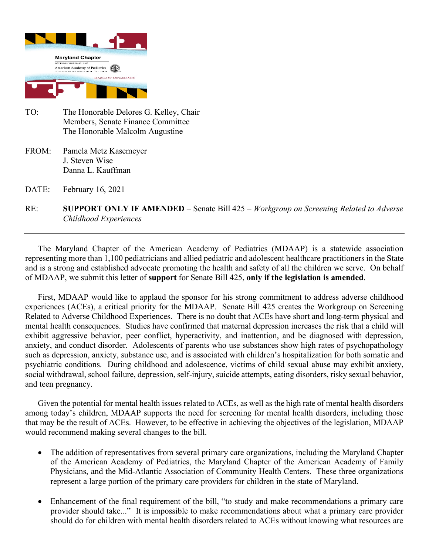

- TO: The Honorable Delores G. Kelley, Chair Members, Senate Finance Committee The Honorable Malcolm Augustine
- FROM: Pamela Metz Kasemeyer J. Steven Wise Danna L. Kauffman
- DATE: February 16, 2021
- RE: **SUPPORT ONLY IF AMENDED** Senate Bill 425 *Workgroup on Screening Related to Adverse Childhood Experiences*

The Maryland Chapter of the American Academy of Pediatrics (MDAAP) is a statewide association representing more than 1,100 pediatricians and allied pediatric and adolescent healthcare practitioners in the State and is a strong and established advocate promoting the health and safety of all the children we serve. On behalf of MDAAP, we submit this letter of **support** for Senate Bill 425, **only if the legislation is amended**.

First, MDAAP would like to applaud the sponsor for his strong commitment to address adverse childhood experiences (ACEs), a critical priority for the MDAAP. Senate Bill 425 creates the Workgroup on Screening Related to Adverse Childhood Experiences. There is no doubt that ACEs have short and long-term physical and mental health consequences. Studies have confirmed that maternal depression increases the risk that a child will exhibit aggressive behavior, peer conflict, hyperactivity, and inattention, and be diagnosed with depression, anxiety, and conduct disorder. Adolescents of parents who use substances show high rates of psychopathology such as depression, anxiety, substance use, and is associated with children's hospitalization for both somatic and psychiatric conditions. During childhood and adolescence, victims of child sexual abuse may exhibit anxiety, social withdrawal, school failure, depression, self-injury, suicide attempts, eating disorders, risky sexual behavior, and teen pregnancy.

Given the potential for mental health issues related to ACEs, as well as the high rate of mental health disorders among today's children, MDAAP supports the need for screening for mental health disorders, including those that may be the result of ACEs. However, to be effective in achieving the objectives of the legislation, MDAAP would recommend making several changes to the bill.

- The addition of representatives from several primary care organizations, including the Maryland Chapter of the American Academy of Pediatrics, the Maryland Chapter of the American Academy of Family Physicians, and the Mid-Atlantic Association of Community Health Centers. These three organizations represent a large portion of the primary care providers for children in the state of Maryland.
- Enhancement of the final requirement of the bill, "to study and make recommendations a primary care provider should take..." It is impossible to make recommendations about what a primary care provider should do for children with mental health disorders related to ACEs without knowing what resources are